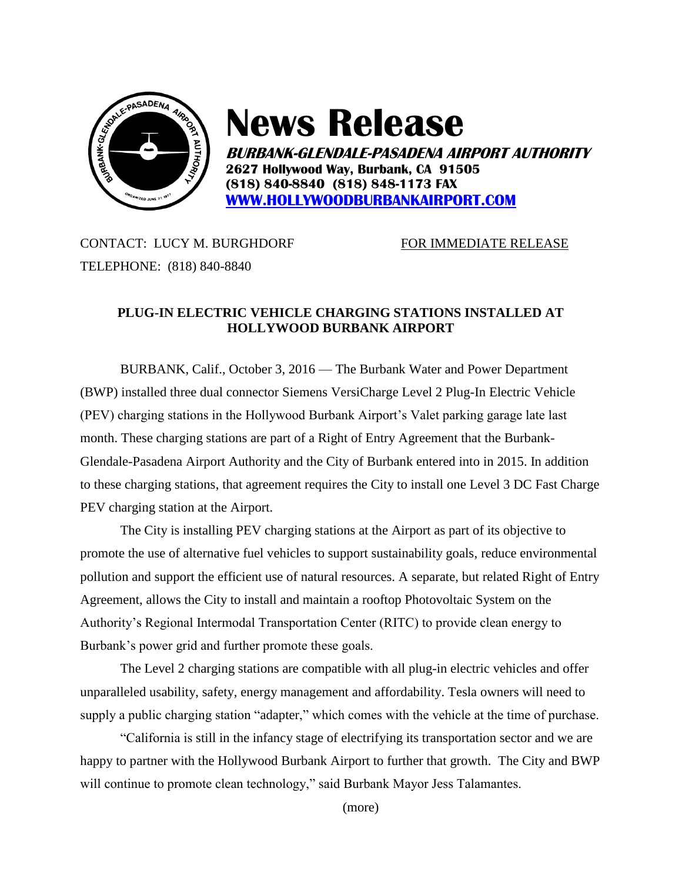

## **News Release**

**BURBANK-GLENDALE-PASADENA AIRPORT AUTHORITY 2627 Hollywood Way, Burbank, CA 91505 (818) 840-8840 (818) 848-1173 FAX [WWW.HOLLYWOODBURBANKAIRPORT.COM](http://www.hollywoodburbankairport.com/)**

CONTACT: LUCY M. BURGHDORF FOR IMMEDIATE RELEASE TELEPHONE: (818) 840-8840

## **PLUG-IN ELECTRIC VEHICLE CHARGING STATIONS INSTALLED AT HOLLYWOOD BURBANK AIRPORT**

BURBANK, Calif., October 3, 2016 — The Burbank Water and Power Department (BWP) installed three dual connector Siemens VersiCharge Level 2 Plug-In Electric Vehicle (PEV) charging stations in the Hollywood Burbank Airport's Valet parking garage late last month. These charging stations are part of a Right of Entry Agreement that the Burbank-Glendale-Pasadena Airport Authority and the City of Burbank entered into in 2015. In addition to these charging stations, that agreement requires the City to install one Level 3 DC Fast Charge PEV charging station at the Airport.

The City is installing PEV charging stations at the Airport as part of its objective to promote the use of alternative fuel vehicles to support sustainability goals, reduce environmental pollution and support the efficient use of natural resources. A separate, but related Right of Entry Agreement, allows the City to install and maintain a rooftop Photovoltaic System on the Authority's Regional Intermodal Transportation Center (RITC) to provide clean energy to Burbank's power grid and further promote these goals.

The Level 2 charging stations are compatible with all plug-in electric vehicles and offer unparalleled usability, safety, energy management and affordability. Tesla owners will need to supply a public charging station "adapter," which comes with the vehicle at the time of purchase.

"California is still in the infancy stage of electrifying its transportation sector and we are happy to partner with the Hollywood Burbank Airport to further that growth. The City and BWP will continue to promote clean technology," said Burbank Mayor Jess Talamantes.

(more)